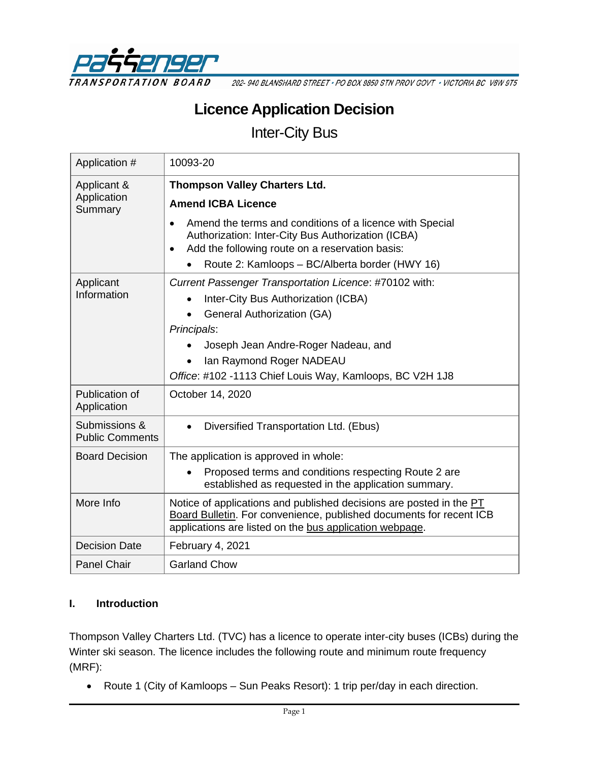

202-940 BLANSHARD STREET · PO BOX 9850 STN PROV GOVT · VICTORIA BC V8W 9T5

# **Licence Application Decision**

Inter-City Bus

| Application #                           | 10093-20                                                                                                                                                                                                                                                                                      |  |  |
|-----------------------------------------|-----------------------------------------------------------------------------------------------------------------------------------------------------------------------------------------------------------------------------------------------------------------------------------------------|--|--|
| Applicant &<br>Application              | <b>Thompson Valley Charters Ltd.</b><br><b>Amend ICBA Licence</b>                                                                                                                                                                                                                             |  |  |
| Summary                                 | Amend the terms and conditions of a licence with Special<br>$\bullet$<br>Authorization: Inter-City Bus Authorization (ICBA)<br>Add the following route on a reservation basis:<br>$\bullet$<br>Route 2: Kamloops - BC/Alberta border (HWY 16)                                                 |  |  |
| Applicant<br>Information                | Current Passenger Transportation Licence: #70102 with:<br>Inter-City Bus Authorization (ICBA)<br><b>General Authorization (GA)</b><br>$\bullet$<br>Principals:<br>Joseph Jean Andre-Roger Nadeau, and<br>Ian Raymond Roger NADEAU<br>Office: #102 -1113 Chief Louis Way, Kamloops, BC V2H 1J8 |  |  |
| Publication of<br>Application           | October 14, 2020                                                                                                                                                                                                                                                                              |  |  |
| Submissions &<br><b>Public Comments</b> | Diversified Transportation Ltd. (Ebus)<br>$\bullet$                                                                                                                                                                                                                                           |  |  |
| <b>Board Decision</b>                   | The application is approved in whole:<br>Proposed terms and conditions respecting Route 2 are<br>established as requested in the application summary.                                                                                                                                         |  |  |
| More Info                               | Notice of applications and published decisions are posted in the PT<br>Board Bulletin. For convenience, published documents for recent ICB<br>applications are listed on the bus application webpage.                                                                                         |  |  |
| <b>Decision Date</b>                    | February 4, 2021                                                                                                                                                                                                                                                                              |  |  |
| <b>Panel Chair</b>                      | <b>Garland Chow</b>                                                                                                                                                                                                                                                                           |  |  |

#### **I. Introduction**

Thompson Valley Charters Ltd. (TVC) has a licence to operate inter-city buses (ICBs) during the Winter ski season. The licence includes the following route and minimum route frequency (MRF):

• Route 1 (City of Kamloops – Sun Peaks Resort): 1 trip per/day in each direction.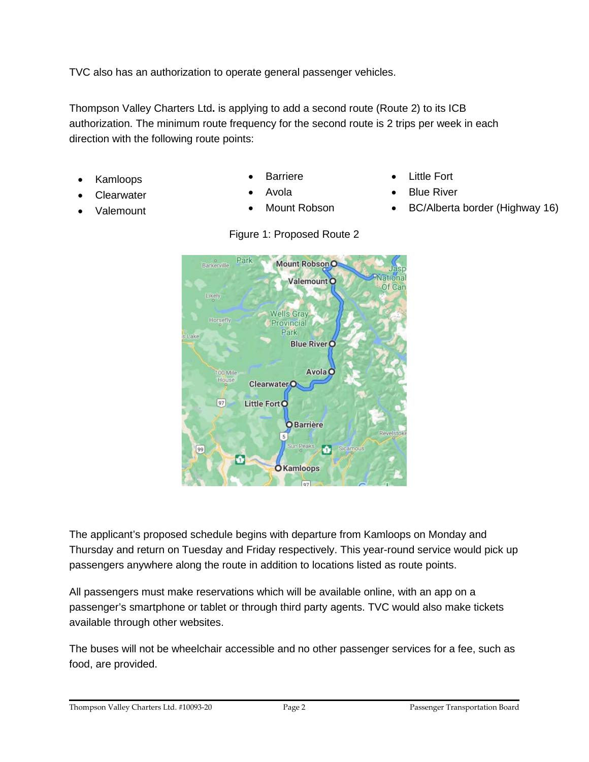TVC also has an authorization to operate general passenger vehicles.

Thompson Valley Charters Ltd**.** is applying to add a second route (Route 2) to its ICB authorization. The minimum route frequency for the second route is 2 trips per week in each direction with the following route points:

- Kamloops Barriere Little Fort
- 
- Clearwater Avola Blue River
- 
- 
- 
- Park Mount Robson O Barkerville Valemount<sup>O</sup> Of Can ikely **Wells Gray** Horsefly Provincial Park Lake **Blue RiverO** Avola O 00 Mile House Clearwater<sub>O</sub>  $97$ Little Fort O **O**Barrière 5  $\bullet$ 99 icamo ó **O**Kamloops

The applicant's proposed schedule begins with departure from Kamloops on Monday and

passengers anywhere along the route in addition to locations listed as route points.

All passengers must make reservations which will be available online, with an app on a

passenger's smartphone or tablet or through third party agents. TVC would also make tickets

Thursday and return on Tuesday and Friday respectively. This year-round service would pick up

- -
- Valemount Mount Robson BC/Alberta border (Highway 16)



available through other websites.

Figure 1: Proposed Route 2

The buses will not be wheelchair accessible and no other passenger services for a fee, such as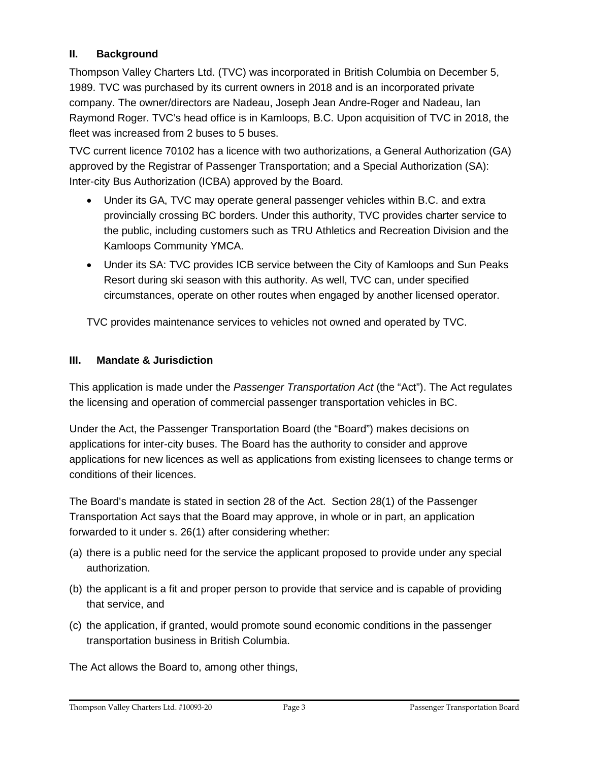# **II. Background**

Thompson Valley Charters Ltd. (TVC) was incorporated in British Columbia on December 5, 1989. TVC was purchased by its current owners in 2018 and is an incorporated private company. The owner/directors are Nadeau, Joseph Jean Andre-Roger and Nadeau, Ian Raymond Roger. TVC's head office is in Kamloops, B.C. Upon acquisition of TVC in 2018, the fleet was increased from 2 buses to 5 buses.

TVC current licence 70102 has a licence with two authorizations, a General Authorization (GA) approved by the Registrar of Passenger Transportation; and a Special Authorization (SA): Inter-city Bus Authorization (ICBA) approved by the Board.

- Under its GA, TVC may operate general passenger vehicles within B.C. and extra provincially crossing BC borders. Under this authority, TVC provides charter service to the public, including customers such as TRU Athletics and Recreation Division and the Kamloops Community YMCA.
- Under its SA: TVC provides ICB service between the City of Kamloops and Sun Peaks Resort during ski season with this authority. As well, TVC can, under specified circumstances, operate on other routes when engaged by another licensed operator.

TVC provides maintenance services to vehicles not owned and operated by TVC.

## **III. Mandate & Jurisdiction**

This application is made under the *Passenger Transportation Act* (the "Act"). The Act regulates the licensing and operation of commercial passenger transportation vehicles in BC.

Under the Act, the Passenger Transportation Board (the "Board") makes decisions on applications for inter-city buses. The Board has the authority to consider and approve applications for new licences as well as applications from existing licensees to change terms or conditions of their licences.

The Board's mandate is stated in section 28 of the Act. Section 28(1) of the Passenger Transportation Act says that the Board may approve, in whole or in part, an application forwarded to it under s. 26(1) after considering whether:

- (a) there is a public need for the service the applicant proposed to provide under any special authorization.
- (b) the applicant is a fit and proper person to provide that service and is capable of providing that service, and
- (c) the application, if granted, would promote sound economic conditions in the passenger transportation business in British Columbia.

The Act allows the Board to, among other things,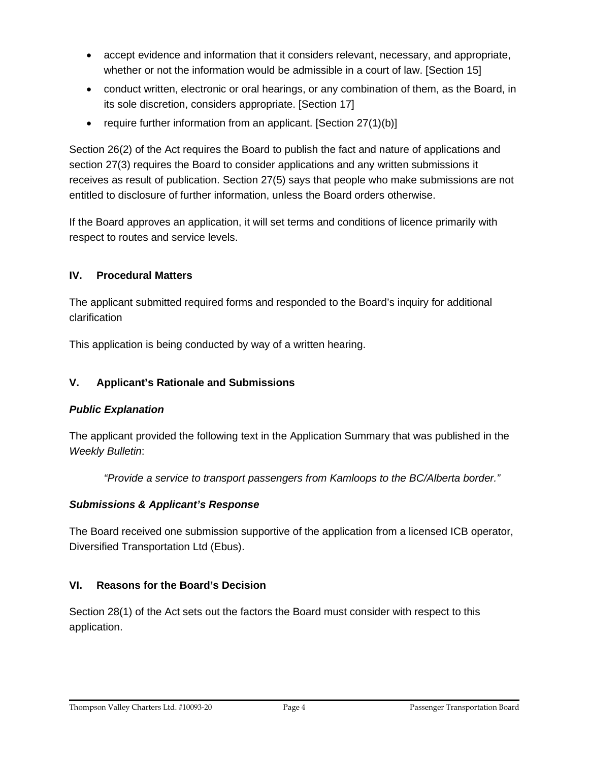- accept evidence and information that it considers relevant, necessary, and appropriate, whether or not the information would be admissible in a court of law. [Section 15]
- conduct written, electronic or oral hearings, or any combination of them, as the Board, in its sole discretion, considers appropriate. [Section 17]
- require further information from an applicant. [Section 27(1)(b)]

Section 26(2) of the Act requires the Board to publish the fact and nature of applications and section 27(3) requires the Board to consider applications and any written submissions it receives as result of publication. Section 27(5) says that people who make submissions are not entitled to disclosure of further information, unless the Board orders otherwise.

If the Board approves an application, it will set terms and conditions of licence primarily with respect to routes and service levels.

# **IV. Procedural Matters**

The applicant submitted required forms and responded to the Board's inquiry for additional clarification

This application is being conducted by way of a written hearing.

# **V. Applicant's Rationale and Submissions**

# *Public Explanation*

The applicant provided the following text in the Application Summary that was published in the *Weekly Bulletin*:

*"Provide a service to transport passengers from Kamloops to the BC/Alberta border."*

# *Submissions & Applicant's Response*

The Board received one submission supportive of the application from a licensed ICB operator, Diversified Transportation Ltd (Ebus).

# **VI. Reasons for the Board's Decision**

Section 28(1) of the Act sets out the factors the Board must consider with respect to this application.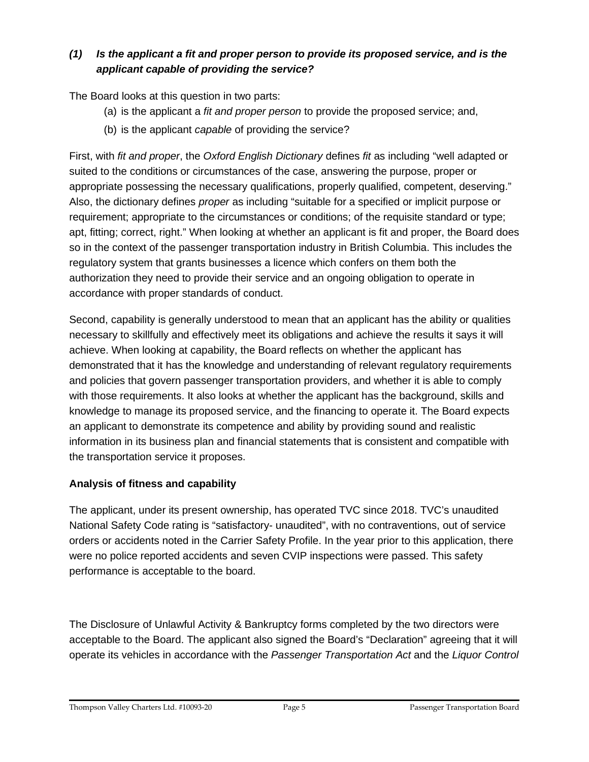# *(1) Is the applicant a fit and proper person to provide its proposed service, and is the applicant capable of providing the service?*

The Board looks at this question in two parts:

- (a) is the applicant a *fit and proper person* to provide the proposed service; and,
- (b) is the applicant *capable* of providing the service?

First, with *fit and proper*, the *Oxford English Dictionary* defines *fit* as including "well adapted or suited to the conditions or circumstances of the case, answering the purpose, proper or appropriate possessing the necessary qualifications, properly qualified, competent, deserving." Also, the dictionary defines *proper* as including "suitable for a specified or implicit purpose or requirement; appropriate to the circumstances or conditions; of the requisite standard or type; apt, fitting; correct, right." When looking at whether an applicant is fit and proper, the Board does so in the context of the passenger transportation industry in British Columbia. This includes the regulatory system that grants businesses a licence which confers on them both the authorization they need to provide their service and an ongoing obligation to operate in accordance with proper standards of conduct.

Second, capability is generally understood to mean that an applicant has the ability or qualities necessary to skillfully and effectively meet its obligations and achieve the results it says it will achieve. When looking at capability, the Board reflects on whether the applicant has demonstrated that it has the knowledge and understanding of relevant regulatory requirements and policies that govern passenger transportation providers, and whether it is able to comply with those requirements. It also looks at whether the applicant has the background, skills and knowledge to manage its proposed service, and the financing to operate it. The Board expects an applicant to demonstrate its competence and ability by providing sound and realistic information in its business plan and financial statements that is consistent and compatible with the transportation service it proposes.

# **Analysis of fitness and capability**

The applicant, under its present ownership, has operated TVC since 2018. TVC's unaudited National Safety Code rating is "satisfactory- unaudited", with no contraventions, out of service orders or accidents noted in the Carrier Safety Profile. In the year prior to this application, there were no police reported accidents and seven CVIP inspections were passed. This safety performance is acceptable to the board.

The Disclosure of Unlawful Activity & Bankruptcy forms completed by the two directors were acceptable to the Board. The applicant also signed the Board's "Declaration" agreeing that it will operate its vehicles in accordance with the *Passenger Transportation Act* and the *Liquor Control* 

Thompson Valley Charters Ltd. #10093-20 Page 5 Passenger Transportation Board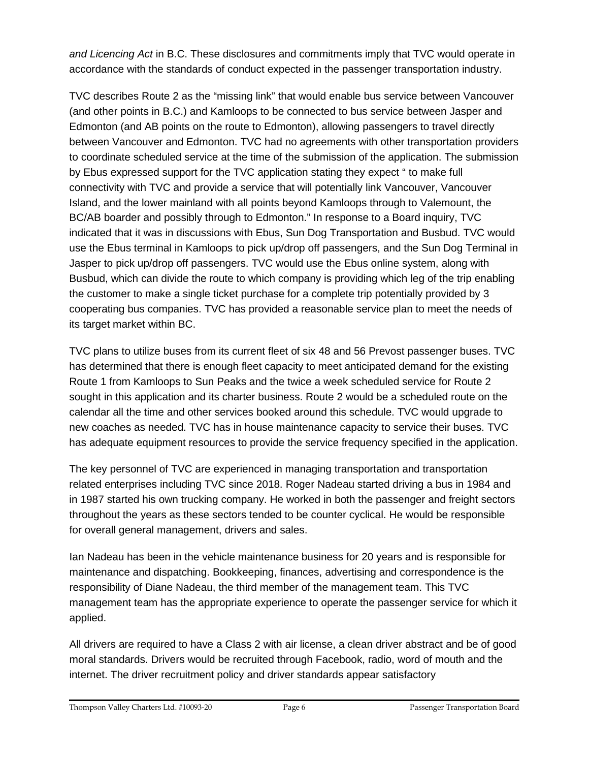*and Licencing Act* in B.C. These disclosures and commitments imply that TVC would operate in accordance with the standards of conduct expected in the passenger transportation industry.

TVC describes Route 2 as the "missing link" that would enable bus service between Vancouver (and other points in B.C.) and Kamloops to be connected to bus service between Jasper and Edmonton (and AB points on the route to Edmonton), allowing passengers to travel directly between Vancouver and Edmonton. TVC had no agreements with other transportation providers to coordinate scheduled service at the time of the submission of the application. The submission by Ebus expressed support for the TVC application stating they expect " to make full connectivity with TVC and provide a service that will potentially link Vancouver, Vancouver Island, and the lower mainland with all points beyond Kamloops through to Valemount, the BC/AB boarder and possibly through to Edmonton." In response to a Board inquiry, TVC indicated that it was in discussions with Ebus, Sun Dog Transportation and Busbud. TVC would use the Ebus terminal in Kamloops to pick up/drop off passengers, and the Sun Dog Terminal in Jasper to pick up/drop off passengers. TVC would use the Ebus online system, along with Busbud, which can divide the route to which company is providing which leg of the trip enabling the customer to make a single ticket purchase for a complete trip potentially provided by 3 cooperating bus companies. TVC has provided a reasonable service plan to meet the needs of its target market within BC.

TVC plans to utilize buses from its current fleet of six 48 and 56 Prevost passenger buses. TVC has determined that there is enough fleet capacity to meet anticipated demand for the existing Route 1 from Kamloops to Sun Peaks and the twice a week scheduled service for Route 2 sought in this application and its charter business. Route 2 would be a scheduled route on the calendar all the time and other services booked around this schedule. TVC would upgrade to new coaches as needed. TVC has in house maintenance capacity to service their buses. TVC has adequate equipment resources to provide the service frequency specified in the application.

The key personnel of TVC are experienced in managing transportation and transportation related enterprises including TVC since 2018. Roger Nadeau started driving a bus in 1984 and in 1987 started his own trucking company. He worked in both the passenger and freight sectors throughout the years as these sectors tended to be counter cyclical. He would be responsible for overall general management, drivers and sales.

Ian Nadeau has been in the vehicle maintenance business for 20 years and is responsible for maintenance and dispatching. Bookkeeping, finances, advertising and correspondence is the responsibility of Diane Nadeau, the third member of the management team. This TVC management team has the appropriate experience to operate the passenger service for which it applied.

All drivers are required to have a Class 2 with air license, a clean driver abstract and be of good moral standards. Drivers would be recruited through Facebook, radio, word of mouth and the internet. The driver recruitment policy and driver standards appear satisfactory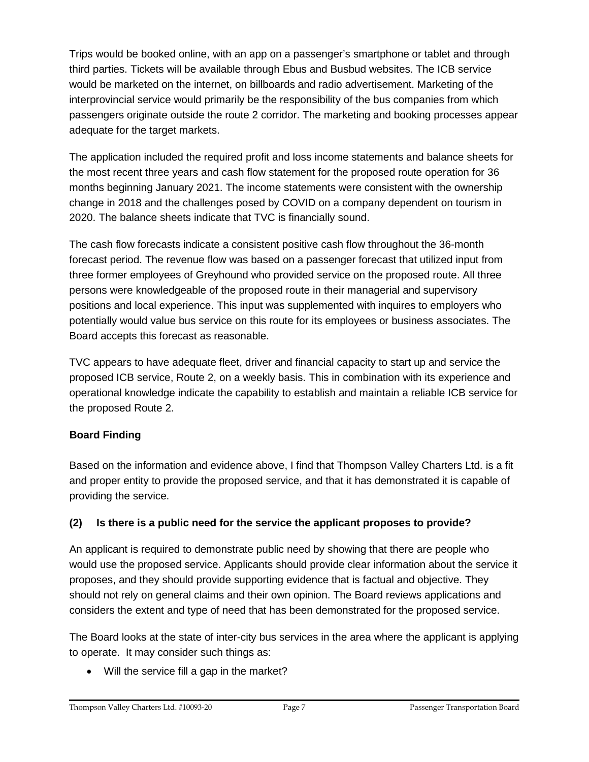Trips would be booked online, with an app on a passenger's smartphone or tablet and through third parties. Tickets will be available through Ebus and Busbud websites. The ICB service would be marketed on the internet, on billboards and radio advertisement. Marketing of the interprovincial service would primarily be the responsibility of the bus companies from which passengers originate outside the route 2 corridor. The marketing and booking processes appear adequate for the target markets.

The application included the required profit and loss income statements and balance sheets for the most recent three years and cash flow statement for the proposed route operation for 36 months beginning January 2021. The income statements were consistent with the ownership change in 2018 and the challenges posed by COVID on a company dependent on tourism in 2020. The balance sheets indicate that TVC is financially sound.

The cash flow forecasts indicate a consistent positive cash flow throughout the 36-month forecast period. The revenue flow was based on a passenger forecast that utilized input from three former employees of Greyhound who provided service on the proposed route. All three persons were knowledgeable of the proposed route in their managerial and supervisory positions and local experience. This input was supplemented with inquires to employers who potentially would value bus service on this route for its employees or business associates. The Board accepts this forecast as reasonable.

TVC appears to have adequate fleet, driver and financial capacity to start up and service the proposed ICB service, Route 2, on a weekly basis. This in combination with its experience and operational knowledge indicate the capability to establish and maintain a reliable ICB service for the proposed Route 2.

# **Board Finding**

Based on the information and evidence above, I find that Thompson Valley Charters Ltd. is a fit and proper entity to provide the proposed service, and that it has demonstrated it is capable of providing the service.

# **(2) Is there is a public need for the service the applicant proposes to provide?**

An applicant is required to demonstrate public need by showing that there are people who would use the proposed service. Applicants should provide clear information about the service it proposes, and they should provide supporting evidence that is factual and objective. They should not rely on general claims and their own opinion. The Board reviews applications and considers the extent and type of need that has been demonstrated for the proposed service.

The Board looks at the state of inter-city bus services in the area where the applicant is applying to operate. It may consider such things as:

• Will the service fill a gap in the market?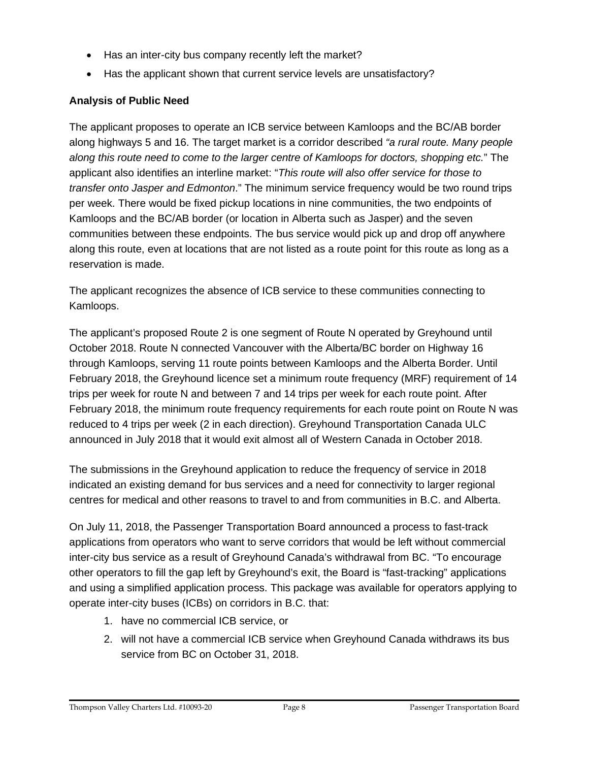- Has an inter-city bus company recently left the market?
- Has the applicant shown that current service levels are unsatisfactory?

# **Analysis of Public Need**

The applicant proposes to operate an ICB service between Kamloops and the BC/AB border along highways 5 and 16. The target market is a corridor described *"a rural route. Many people along this route need to come to the larger centre of Kamloops for doctors, shopping etc.*" The applicant also identifies an interline market: "*This route will also offer service for those to transfer onto Jasper and Edmonton*." The minimum service frequency would be two round trips per week. There would be fixed pickup locations in nine communities, the two endpoints of Kamloops and the BC/AB border (or location in Alberta such as Jasper) and the seven communities between these endpoints. The bus service would pick up and drop off anywhere along this route, even at locations that are not listed as a route point for this route as long as a reservation is made.

The applicant recognizes the absence of ICB service to these communities connecting to Kamloops.

The applicant's proposed Route 2 is one segment of Route N operated by Greyhound until October 2018. Route N connected Vancouver with the Alberta/BC border on Highway 16 through Kamloops, serving 11 route points between Kamloops and the Alberta Border. Until February 2018, the Greyhound licence set a minimum route frequency (MRF) requirement of 14 trips per week for route N and between 7 and 14 trips per week for each route point. After February 2018, the minimum route frequency requirements for each route point on Route N was reduced to 4 trips per week (2 in each direction). Greyhound Transportation Canada ULC announced in July 2018 that it would exit almost all of Western Canada in October 2018.

The submissions in the Greyhound application to reduce the frequency of service in 2018 indicated an existing demand for bus services and a need for connectivity to larger regional centres for medical and other reasons to travel to and from communities in B.C. and Alberta.

On July 11, 2018, the Passenger Transportation Board announced a process to fast-track applications from operators who want to serve corridors that would be left without commercial inter-city bus service as a result of Greyhound Canada's withdrawal from BC. "To encourage other operators to fill the gap left by Greyhound's exit, the Board is "fast-tracking" applications and using a simplified application process. This package was available for operators applying to operate inter-city buses (ICBs) on corridors in B.C. that:

- 1. have no commercial ICB service, or
- 2. will not have a commercial ICB service when Greyhound Canada withdraws its bus service from BC on October 31, 2018.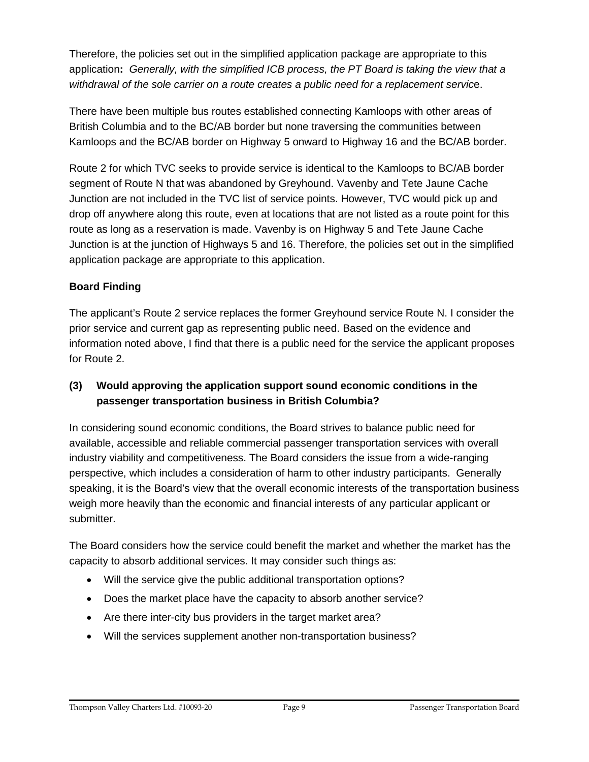Therefore, the policies set out in the simplified application package are appropriate to this application**:** *Generally, with the simplified ICB process, the PT Board is taking the view that a withdrawal of the sole carrier on a route creates a public need for a replacement servic*e.

There have been multiple bus routes established connecting Kamloops with other areas of British Columbia and to the BC/AB border but none traversing the communities between Kamloops and the BC/AB border on Highway 5 onward to Highway 16 and the BC/AB border.

Route 2 for which TVC seeks to provide service is identical to the Kamloops to BC/AB border segment of Route N that was abandoned by Greyhound. Vavenby and Tete Jaune Cache Junction are not included in the TVC list of service points. However, TVC would pick up and drop off anywhere along this route, even at locations that are not listed as a route point for this route as long as a reservation is made. Vavenby is on Highway 5 and Tete Jaune Cache Junction is at the junction of Highways 5 and 16. Therefore, the policies set out in the simplified application package are appropriate to this application.

# **Board Finding**

The applicant's Route 2 service replaces the former Greyhound service Route N. I consider the prior service and current gap as representing public need. Based on the evidence and information noted above, I find that there is a public need for the service the applicant proposes for Route 2.

# **(3) Would approving the application support sound economic conditions in the passenger transportation business in British Columbia?**

In considering sound economic conditions, the Board strives to balance public need for available, accessible and reliable commercial passenger transportation services with overall industry viability and competitiveness. The Board considers the issue from a wide-ranging perspective, which includes a consideration of harm to other industry participants. Generally speaking, it is the Board's view that the overall economic interests of the transportation business weigh more heavily than the economic and financial interests of any particular applicant or submitter.

The Board considers how the service could benefit the market and whether the market has the capacity to absorb additional services. It may consider such things as:

- Will the service give the public additional transportation options?
- Does the market place have the capacity to absorb another service?
- Are there inter-city bus providers in the target market area?
- Will the services supplement another non-transportation business?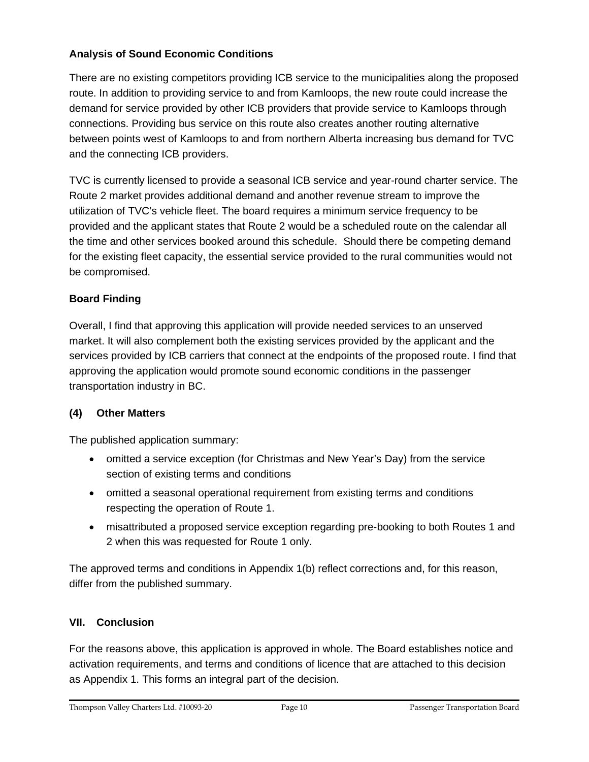## **Analysis of Sound Economic Conditions**

There are no existing competitors providing ICB service to the municipalities along the proposed route. In addition to providing service to and from Kamloops, the new route could increase the demand for service provided by other ICB providers that provide service to Kamloops through connections. Providing bus service on this route also creates another routing alternative between points west of Kamloops to and from northern Alberta increasing bus demand for TVC and the connecting ICB providers.

TVC is currently licensed to provide a seasonal ICB service and year-round charter service. The Route 2 market provides additional demand and another revenue stream to improve the utilization of TVC's vehicle fleet. The board requires a minimum service frequency to be provided and the applicant states that Route 2 would be a scheduled route on the calendar all the time and other services booked around this schedule. Should there be competing demand for the existing fleet capacity, the essential service provided to the rural communities would not be compromised.

## **Board Finding**

Overall, I find that approving this application will provide needed services to an unserved market. It will also complement both the existing services provided by the applicant and the services provided by ICB carriers that connect at the endpoints of the proposed route. I find that approving the application would promote sound economic conditions in the passenger transportation industry in BC.

# **(4) Other Matters**

The published application summary:

- omitted a service exception (for Christmas and New Year's Day) from the service section of existing terms and conditions
- omitted a seasonal operational requirement from existing terms and conditions respecting the operation of Route 1.
- misattributed a proposed service exception regarding pre-booking to both Routes 1 and 2 when this was requested for Route 1 only.

The approved terms and conditions in Appendix 1(b) reflect corrections and, for this reason, differ from the published summary.

#### **VII. Conclusion**

For the reasons above, this application is approved in whole. The Board establishes notice and activation requirements, and terms and conditions of licence that are attached to this decision as Appendix 1. This forms an integral part of the decision.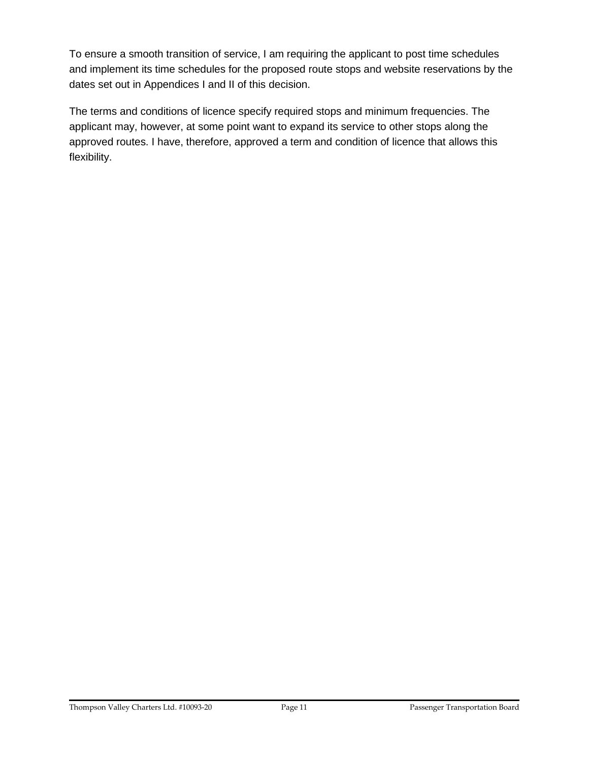To ensure a smooth transition of service, I am requiring the applicant to post time schedules and implement its time schedules for the proposed route stops and website reservations by the dates set out in Appendices I and II of this decision.

The terms and conditions of licence specify required stops and minimum frequencies. The applicant may, however, at some point want to expand its service to other stops along the approved routes. I have, therefore, approved a term and condition of licence that allows this flexibility.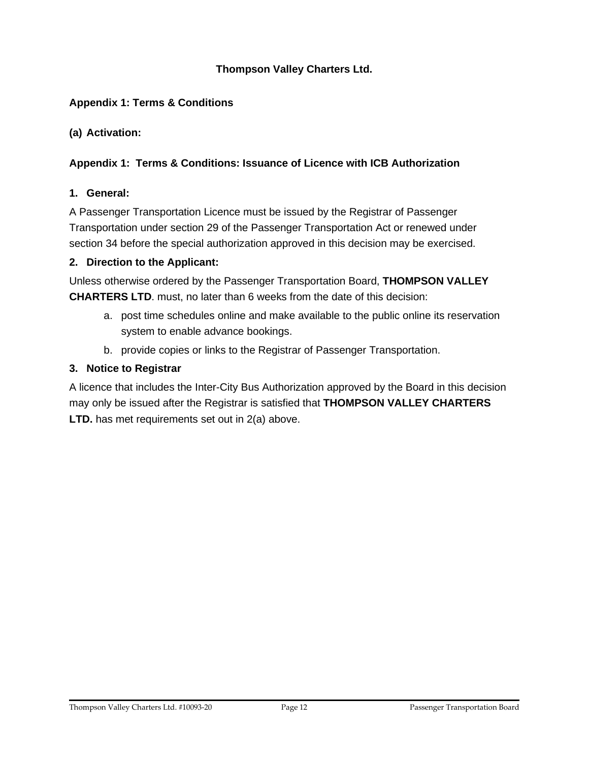## **Thompson Valley Charters Ltd.**

## **Appendix 1: Terms & Conditions**

**(a) Activation:**

#### **Appendix 1: Terms & Conditions: Issuance of Licence with ICB Authorization**

#### **1. General:**

A Passenger Transportation Licence must be issued by the Registrar of Passenger Transportation under section 29 of the Passenger Transportation Act or renewed under section 34 before the special authorization approved in this decision may be exercised.

#### **2. Direction to the Applicant:**

Unless otherwise ordered by the Passenger Transportation Board, **THOMPSON VALLEY CHARTERS LTD**. must, no later than 6 weeks from the date of this decision:

- a. post time schedules online and make available to the public online its reservation system to enable advance bookings.
- b. provide copies or links to the Registrar of Passenger Transportation.

#### **3. Notice to Registrar**

A licence that includes the Inter-City Bus Authorization approved by the Board in this decision may only be issued after the Registrar is satisfied that **THOMPSON VALLEY CHARTERS LTD.** has met requirements set out in 2(a) above.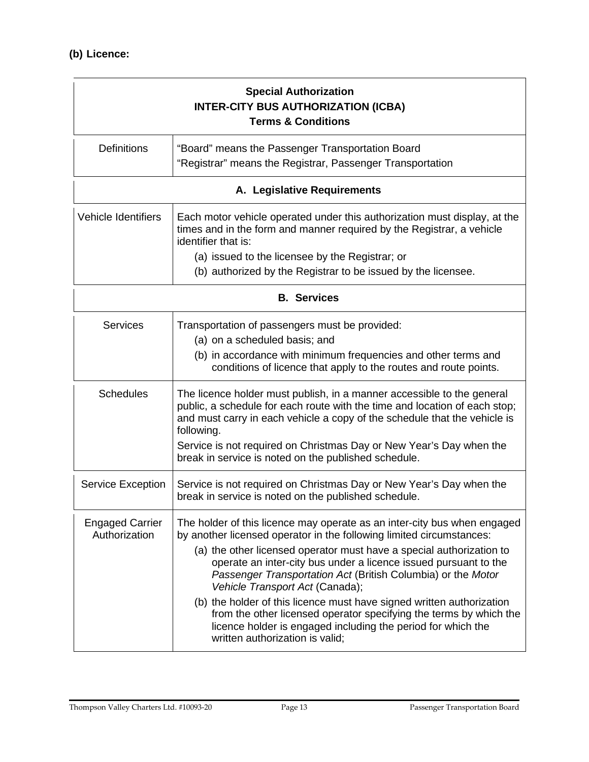| <b>Special Authorization</b><br><b>INTER-CITY BUS AUTHORIZATION (ICBA)</b><br><b>Terms &amp; Conditions</b> |                                                                                                                                                                                                                                                                                                                                                                                                                                                                                                                                                                                                                                                   |  |  |
|-------------------------------------------------------------------------------------------------------------|---------------------------------------------------------------------------------------------------------------------------------------------------------------------------------------------------------------------------------------------------------------------------------------------------------------------------------------------------------------------------------------------------------------------------------------------------------------------------------------------------------------------------------------------------------------------------------------------------------------------------------------------------|--|--|
| <b>Definitions</b>                                                                                          | "Board" means the Passenger Transportation Board<br>"Registrar" means the Registrar, Passenger Transportation                                                                                                                                                                                                                                                                                                                                                                                                                                                                                                                                     |  |  |
| A. Legislative Requirements                                                                                 |                                                                                                                                                                                                                                                                                                                                                                                                                                                                                                                                                                                                                                                   |  |  |
| <b>Vehicle Identifiers</b>                                                                                  | Each motor vehicle operated under this authorization must display, at the<br>times and in the form and manner required by the Registrar, a vehicle<br>identifier that is:<br>(a) issued to the licensee by the Registrar; or                                                                                                                                                                                                                                                                                                                                                                                                                      |  |  |
|                                                                                                             | (b) authorized by the Registrar to be issued by the licensee.                                                                                                                                                                                                                                                                                                                                                                                                                                                                                                                                                                                     |  |  |
| <b>B.</b> Services                                                                                          |                                                                                                                                                                                                                                                                                                                                                                                                                                                                                                                                                                                                                                                   |  |  |
| <b>Services</b>                                                                                             | Transportation of passengers must be provided:<br>(a) on a scheduled basis; and<br>(b) in accordance with minimum frequencies and other terms and<br>conditions of licence that apply to the routes and route points.                                                                                                                                                                                                                                                                                                                                                                                                                             |  |  |
| <b>Schedules</b>                                                                                            | The licence holder must publish, in a manner accessible to the general<br>public, a schedule for each route with the time and location of each stop;<br>and must carry in each vehicle a copy of the schedule that the vehicle is<br>following.<br>Service is not required on Christmas Day or New Year's Day when the<br>break in service is noted on the published schedule.                                                                                                                                                                                                                                                                    |  |  |
| <b>Service Exception</b>                                                                                    | Service is not required on Christmas Day or New Year's Day when the<br>break in service is noted on the published schedule.                                                                                                                                                                                                                                                                                                                                                                                                                                                                                                                       |  |  |
| <b>Engaged Carrier</b><br>Authorization                                                                     | The holder of this licence may operate as an inter-city bus when engaged<br>by another licensed operator in the following limited circumstances:<br>(a) the other licensed operator must have a special authorization to<br>operate an inter-city bus under a licence issued pursuant to the<br>Passenger Transportation Act (British Columbia) or the Motor<br>Vehicle Transport Act (Canada);<br>(b) the holder of this licence must have signed written authorization<br>from the other licensed operator specifying the terms by which the<br>licence holder is engaged including the period for which the<br>written authorization is valid; |  |  |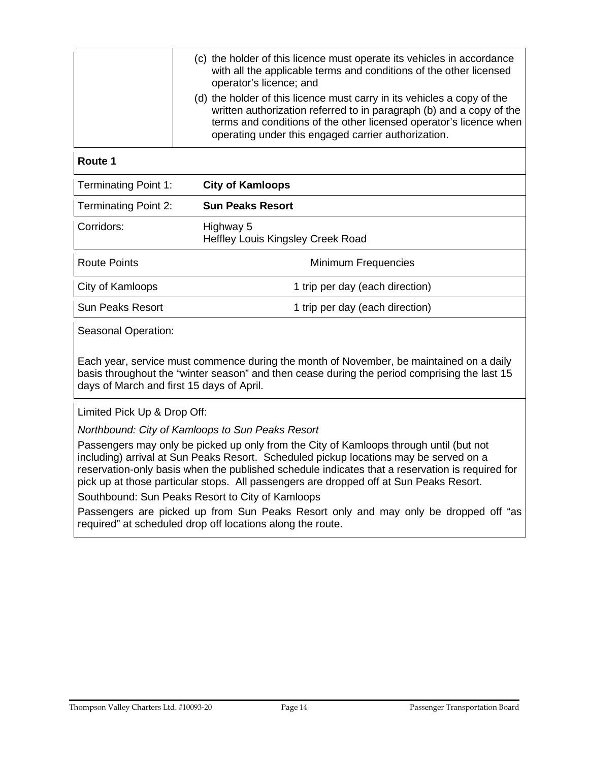|                | (c) the holder of this licence must operate its vehicles in accordance<br>with all the applicable terms and conditions of the other licensed<br>operator's licence; and                                                                                                      |
|----------------|------------------------------------------------------------------------------------------------------------------------------------------------------------------------------------------------------------------------------------------------------------------------------|
|                | (d) the holder of this licence must carry in its vehicles a copy of the<br>written authorization referred to in paragraph (b) and a copy of the<br>terms and conditions of the other licensed operator's licence when<br>operating under this engaged carrier authorization. |
| <b>Poute</b> 1 |                                                                                                                                                                                                                                                                              |

# **Route 1**

| <b>Terminating Point 1:</b> | <b>City of Kamloops</b>                               |
|-----------------------------|-------------------------------------------------------|
| <b>Terminating Point 2:</b> | <b>Sun Peaks Resort</b>                               |
| Corridors:                  | Highway 5<br><b>Heffley Louis Kingsley Creek Road</b> |
| <b>Route Points</b>         | Minimum Frequencies                                   |
| City of Kamloops            | 1 trip per day (each direction)                       |
| <b>Sun Peaks Resort</b>     | 1 trip per day (each direction)                       |
|                             |                                                       |

Seasonal Operation:

Each year, service must commence during the month of November, be maintained on a daily basis throughout the "winter season" and then cease during the period comprising the last 15 days of March and first 15 days of April.

Limited Pick Up & Drop Off:

*Northbound: City of Kamloops to Sun Peaks Resort*

Passengers may only be picked up only from the City of Kamloops through until (but not including) arrival at Sun Peaks Resort. Scheduled pickup locations may be served on a reservation-only basis when the published schedule indicates that a reservation is required for pick up at those particular stops. All passengers are dropped off at Sun Peaks Resort.

Southbound: Sun Peaks Resort to City of Kamloops

Passengers are picked up from Sun Peaks Resort only and may only be dropped off "as required" at scheduled drop off locations along the route.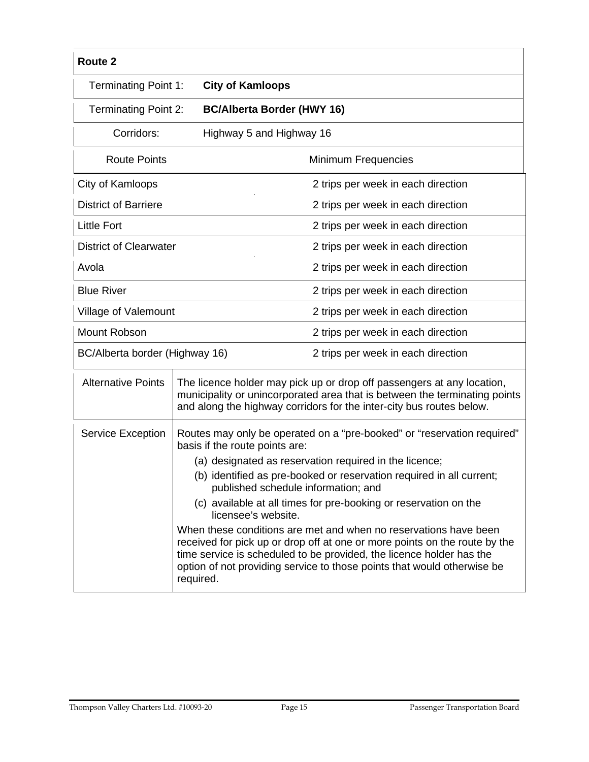| Route 2                        |                                |                                                                                                                                                                                                                                                                                                   |  |  |
|--------------------------------|--------------------------------|---------------------------------------------------------------------------------------------------------------------------------------------------------------------------------------------------------------------------------------------------------------------------------------------------|--|--|
| <b>Terminating Point 1:</b>    |                                | <b>City of Kamloops</b>                                                                                                                                                                                                                                                                           |  |  |
| Terminating Point 2:           |                                | <b>BC/Alberta Border (HWY 16)</b>                                                                                                                                                                                                                                                                 |  |  |
| Corridors:                     |                                | Highway 5 and Highway 16                                                                                                                                                                                                                                                                          |  |  |
| <b>Route Points</b>            |                                | <b>Minimum Frequencies</b>                                                                                                                                                                                                                                                                        |  |  |
| City of Kamloops               |                                | 2 trips per week in each direction                                                                                                                                                                                                                                                                |  |  |
| <b>District of Barriere</b>    |                                | 2 trips per week in each direction                                                                                                                                                                                                                                                                |  |  |
| <b>Little Fort</b>             |                                | 2 trips per week in each direction                                                                                                                                                                                                                                                                |  |  |
| <b>District of Clearwater</b>  |                                | 2 trips per week in each direction                                                                                                                                                                                                                                                                |  |  |
| Avola                          |                                | 2 trips per week in each direction                                                                                                                                                                                                                                                                |  |  |
| <b>Blue River</b>              |                                | 2 trips per week in each direction                                                                                                                                                                                                                                                                |  |  |
| Village of Valemount           |                                | 2 trips per week in each direction                                                                                                                                                                                                                                                                |  |  |
| Mount Robson                   |                                | 2 trips per week in each direction                                                                                                                                                                                                                                                                |  |  |
| BC/Alberta border (Highway 16) |                                | 2 trips per week in each direction                                                                                                                                                                                                                                                                |  |  |
| <b>Alternative Points</b>      |                                | The licence holder may pick up or drop off passengers at any location,<br>municipality or unincorporated area that is between the terminating points<br>and along the highway corridors for the inter-city bus routes below.                                                                      |  |  |
| <b>Service Exception</b>       | basis if the route points are: | Routes may only be operated on a "pre-booked" or "reservation required"                                                                                                                                                                                                                           |  |  |
|                                |                                | (a) designated as reservation required in the licence;                                                                                                                                                                                                                                            |  |  |
|                                |                                | (b) identified as pre-booked or reservation required in all current;<br>published schedule information; and                                                                                                                                                                                       |  |  |
|                                | licensee's website.            | (c) available at all times for pre-booking or reservation on the                                                                                                                                                                                                                                  |  |  |
|                                | required.                      | When these conditions are met and when no reservations have been<br>received for pick up or drop off at one or more points on the route by the<br>time service is scheduled to be provided, the licence holder has the<br>option of not providing service to those points that would otherwise be |  |  |